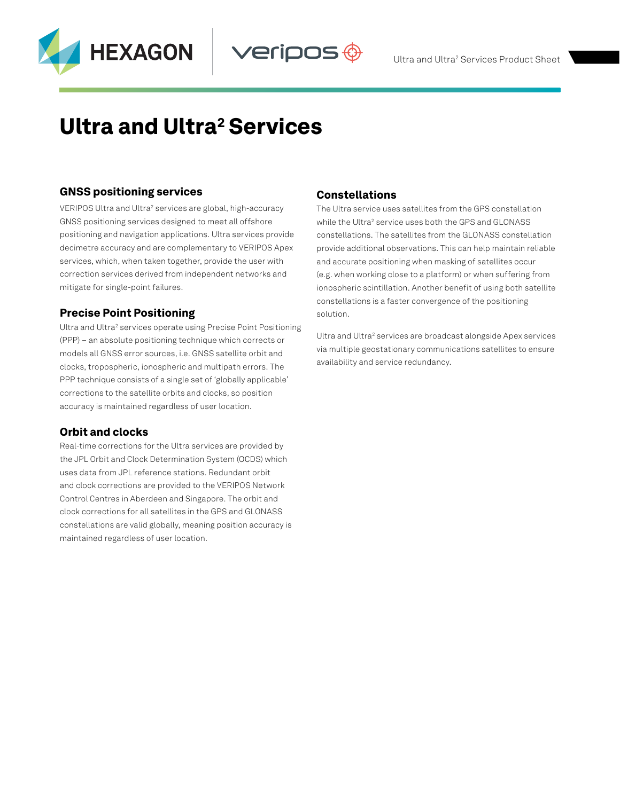



# **Ultra and Ultra<sup>2</sup> Services**

## GNSS positioning services

VERIPOS Ultra and Ultra<sup>2</sup> services are global, high-accuracy GNSS positioning services designed to meet all offshore positioning and navigation applications. Ultra services provide decimetre accuracy and are complementary to VERIPOS Apex services, which, when taken together, provide the user with correction services derived from independent networks and mitigate for single-point failures.

## Precise Point Positioning

Ultra and Ultra<sup>2</sup> services operate using Precise Point Positioning (PPP) – an absolute positioning technique which corrects or models all GNSS error sources, i.e. GNSS satellite orbit and clocks, tropospheric, ionospheric and multipath errors. The PPP technique consists of a single set of 'globally applicable' corrections to the satellite orbits and clocks, so position accuracy is maintained regardless of user location.

## Orbit and clocks

Real-time corrections for the Ultra services are provided by the JPL Orbit and Clock Determination System (OCDS) which uses data from JPL reference stations. Redundant orbit and clock corrections are provided to the VERIPOS Network Control Centres in Aberdeen and Singapore. The orbit and clock corrections for all satellites in the GPS and GLONASS constellations are valid globally, meaning position accuracy is maintained regardless of user location.

## Constellations

/eripos

The Ultra service uses satellites from the GPS constellation while the Ultra<sup>2</sup> service uses both the GPS and GLONASS constellations. The satellites from the GLONASS constellation provide additional observations. This can help maintain reliable and accurate positioning when masking of satellites occur (e.g. when working close to a platform) or when suffering from ionospheric scintillation. Another benefit of using both satellite constellations is a faster convergence of the positioning solution.

Ultra and Ultra<sup>2</sup> services are broadcast alongside Apex services via multiple geostationary communications satellites to ensure availability and service redundancy.